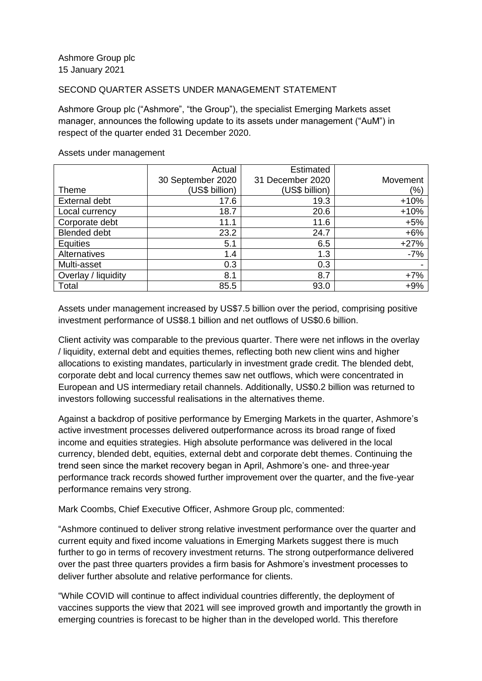## SECOND QUARTER ASSETS UNDER MANAGEMENT STATEMENT

Ashmore Group plc ("Ashmore", "the Group"), the specialist Emerging Markets asset manager, announces the following update to its assets under management ("AuM") in respect of the quarter ended 31 December 2020.

|                      | Actual            | <b>Estimated</b> |          |
|----------------------|-------------------|------------------|----------|
|                      | 30 September 2020 | 31 December 2020 | Movement |
| Theme                | (US\$ billion)    | (US\$ billion)   | (%)      |
| <b>External debt</b> | 17.6              | 19.3             | $+10%$   |
| Local currency       | 18.7              | 20.6             | $+10%$   |
| Corporate debt       | 11.1              | 11.6             | $+5%$    |
| <b>Blended debt</b>  | 23.2              | 24.7             | $+6%$    |
| <b>Equities</b>      | 5.1               | 6.5              | $+27%$   |
| Alternatives         | 1.4               | 1.3              | $-7%$    |
| Multi-asset          | 0.3               | 0.3              | -        |
| Overlay / liquidity  | 8.1               | 8.7              | $+7%$    |
| Total                | 85.5              | 93.0             | $+9%$    |

## Assets under management

Assets under management increased by US\$7.5 billion over the period, comprising positive investment performance of US\$8.1 billion and net outflows of US\$0.6 billion.

Client activity was comparable to the previous quarter. There were net inflows in the overlay / liquidity, external debt and equities themes, reflecting both new client wins and higher allocations to existing mandates, particularly in investment grade credit. The blended debt, corporate debt and local currency themes saw net outflows, which were concentrated in European and US intermediary retail channels. Additionally, US\$0.2 billion was returned to investors following successful realisations in the alternatives theme.

Against a backdrop of positive performance by Emerging Markets in the quarter, Ashmore's active investment processes delivered outperformance across its broad range of fixed income and equities strategies. High absolute performance was delivered in the local currency, blended debt, equities, external debt and corporate debt themes. Continuing the trend seen since the market recovery began in April, Ashmore's one- and three-year performance track records showed further improvement over the quarter, and the five-year performance remains very strong.

Mark Coombs, Chief Executive Officer, Ashmore Group plc, commented:

"Ashmore continued to deliver strong relative investment performance over the quarter and current equity and fixed income valuations in Emerging Markets suggest there is much further to go in terms of recovery investment returns. The strong outperformance delivered over the past three quarters provides a firm basis for Ashmore's investment processes to deliver further absolute and relative performance for clients.

"While COVID will continue to affect individual countries differently, the deployment of vaccines supports the view that 2021 will see improved growth and importantly the growth in emerging countries is forecast to be higher than in the developed world. This therefore